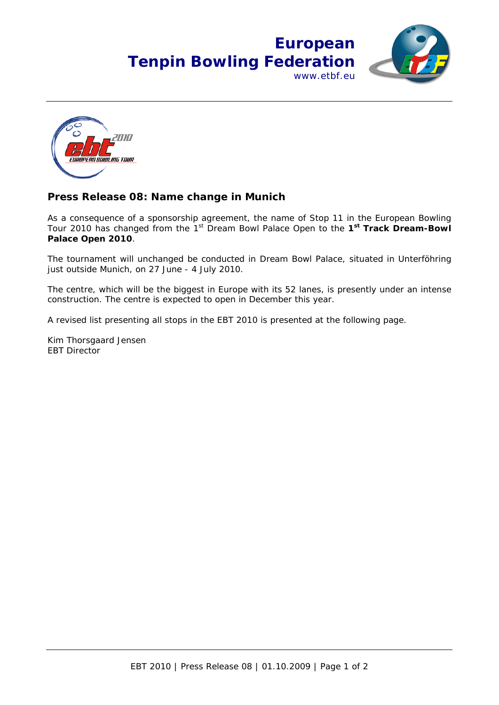## **European Tenpin Bowling Federation** www.etbf.eu





## **Press Release 08: Name change in Munich**

As a consequence of a sponsorship agreement, the name of Stop 11 in the European Bowling Tour 2010 has changed from the 1st Dream Bowl Palace Open to the **1st Track Dream-Bowl Palace Open 2010**.

The tournament will unchanged be conducted in Dream Bowl Palace, situated in Unterföhring just outside Munich, on 27 June - 4 July 2010.

The centre, which will be the biggest in Europe with its 52 lanes, is presently under an intense construction. The centre is expected to open in December this year.

A revised list presenting all stops in the EBT 2010 is presented at the following page.

Kim Thorsgaard Jensen EBT Director